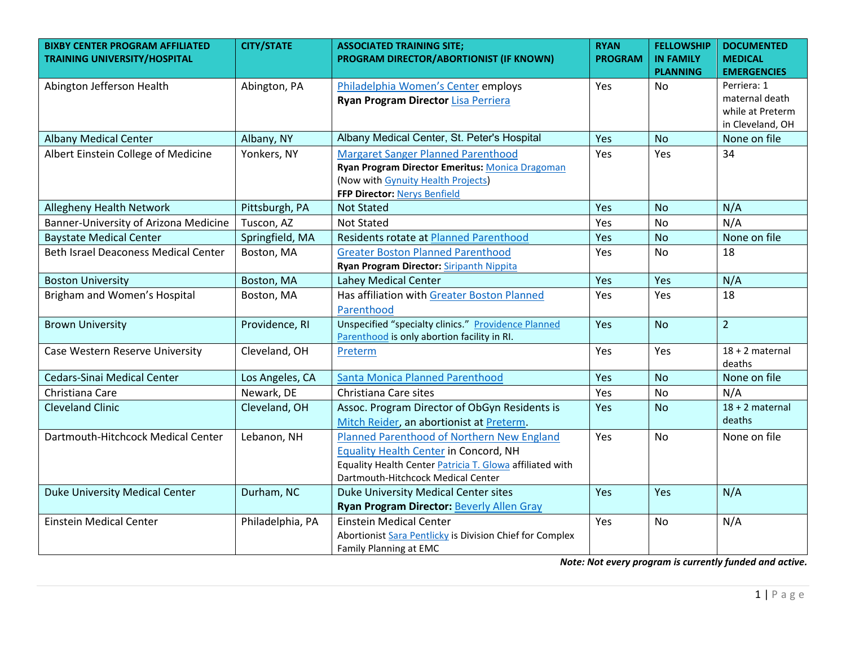| <b>BIXBY CENTER PROGRAM AFFILIATED</b><br><b>TRAINING UNIVERSITY/HOSPITAL</b> | <b>CITY/STATE</b> | <b>ASSOCIATED TRAINING SITE;</b><br>PROGRAM DIRECTOR/ABORTIONIST (IF KNOWN) | <b>RYAN</b><br><b>PROGRAM</b> | <b>FELLOWSHIP</b><br><b>IN FAMILY</b> | <b>DOCUMENTED</b><br><b>MEDICAL</b>  |
|-------------------------------------------------------------------------------|-------------------|-----------------------------------------------------------------------------|-------------------------------|---------------------------------------|--------------------------------------|
|                                                                               |                   |                                                                             |                               | <b>PLANNING</b>                       | <b>EMERGENCIES</b>                   |
| Abington Jefferson Health                                                     | Abington, PA      | Philadelphia Women's Center employs                                         | Yes                           | No.                                   | Perriera: 1                          |
|                                                                               |                   | <b>Ryan Program Director Lisa Perriera</b>                                  |                               |                                       | maternal death                       |
|                                                                               |                   |                                                                             |                               |                                       | while at Preterm<br>in Cleveland, OH |
| <b>Albany Medical Center</b>                                                  | Albany, NY        | Albany Medical Center, St. Peter's Hospital                                 | Yes                           | <b>No</b>                             | None on file                         |
| Albert Einstein College of Medicine                                           | Yonkers, NY       | <b>Margaret Sanger Planned Parenthood</b>                                   | Yes                           | Yes                                   | 34                                   |
|                                                                               |                   | Ryan Program Director Emeritus: Monica Dragoman                             |                               |                                       |                                      |
|                                                                               |                   | (Now with Gynuity Health Projects)                                          |                               |                                       |                                      |
|                                                                               |                   | FFP Director: Nerys Benfield                                                |                               |                                       |                                      |
| <b>Allegheny Health Network</b>                                               | Pittsburgh, PA    | <b>Not Stated</b>                                                           | Yes                           | <b>No</b>                             | N/A                                  |
| Banner-University of Arizona Medicine                                         | Tuscon, AZ        | <b>Not Stated</b>                                                           | Yes                           | <b>No</b>                             | N/A                                  |
| <b>Baystate Medical Center</b>                                                | Springfield, MA   | Residents rotate at Planned Parenthood                                      | Yes                           | <b>No</b>                             | None on file                         |
| <b>Beth Israel Deaconess Medical Center</b>                                   | Boston, MA        | <b>Greater Boston Planned Parenthood</b>                                    | Yes                           | <b>No</b>                             | 18                                   |
|                                                                               |                   | Ryan Program Director: Siripanth Nippita                                    |                               |                                       |                                      |
| <b>Boston University</b>                                                      | Boston, MA        | Lahey Medical Center                                                        | Yes                           | Yes                                   | N/A                                  |
| Brigham and Women's Hospital                                                  | Boston, MA        | Has affiliation with Greater Boston Planned                                 | Yes                           | Yes                                   | 18                                   |
|                                                                               |                   | Parenthood                                                                  |                               |                                       |                                      |
| <b>Brown University</b>                                                       | Providence, RI    | Unspecified "specialty clinics." Providence Planned                         | Yes                           | <b>No</b>                             | $\overline{2}$                       |
|                                                                               |                   | Parenthood is only abortion facility in RI.                                 |                               |                                       |                                      |
| Case Western Reserve University                                               | Cleveland, OH     | Preterm                                                                     | Yes                           | Yes                                   | $18 + 2$ maternal<br>deaths          |
| <b>Cedars-Sinai Medical Center</b>                                            | Los Angeles, CA   | <b>Santa Monica Planned Parenthood</b>                                      | Yes                           | <b>No</b>                             | None on file                         |
| Christiana Care                                                               | Newark, DE        | Christiana Care sites                                                       | Yes                           | <b>No</b>                             | N/A                                  |
| <b>Cleveland Clinic</b>                                                       | Cleveland, OH     | Assoc. Program Director of ObGyn Residents is                               | Yes                           | <b>No</b>                             | $18 + 2$ maternal                    |
|                                                                               |                   | Mitch Reider, an abortionist at Preterm.                                    |                               |                                       | deaths                               |
| Dartmouth-Hitchcock Medical Center                                            | Lebanon, NH       | Planned Parenthood of Northern New England                                  | Yes                           | <b>No</b>                             | None on file                         |
|                                                                               |                   | <b>Equality Health Center in Concord, NH</b>                                |                               |                                       |                                      |
|                                                                               |                   | Equality Health Center Patricia T. Glowa affiliated with                    |                               |                                       |                                      |
|                                                                               |                   | Dartmouth-Hitchcock Medical Center                                          |                               |                                       |                                      |
| <b>Duke University Medical Center</b>                                         | Durham, NC        | <b>Duke University Medical Center sites</b>                                 | Yes                           | Yes                                   | N/A                                  |
|                                                                               |                   | <b>Ryan Program Director: Beverly Allen Gray</b>                            |                               |                                       |                                      |
| <b>Einstein Medical Center</b>                                                | Philadelphia, PA  | <b>Einstein Medical Center</b>                                              | Yes                           | <b>No</b>                             | N/A                                  |
|                                                                               |                   | Abortionist Sara Pentlicky is Division Chief for Complex                    |                               |                                       |                                      |
|                                                                               |                   | Family Planning at EMC                                                      |                               |                                       |                                      |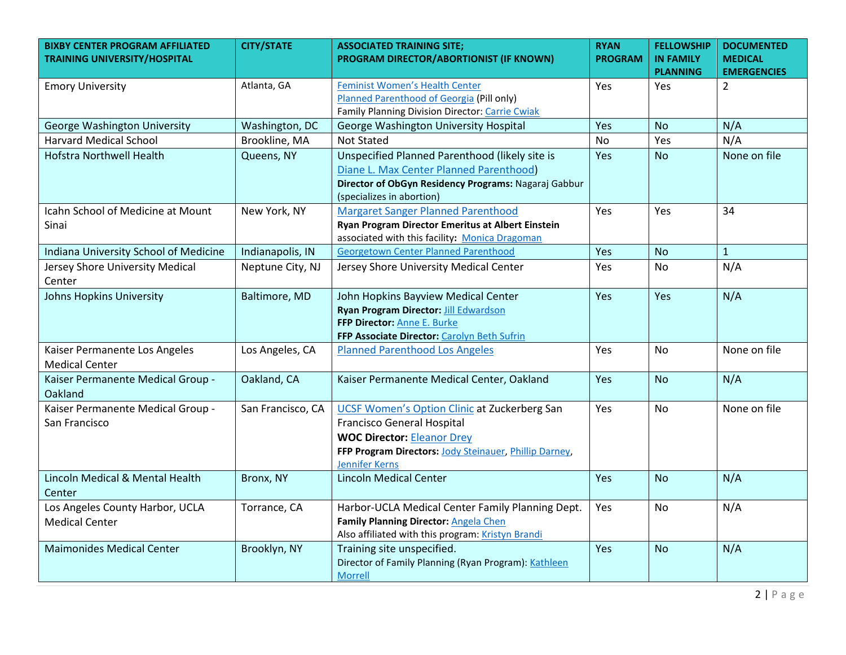| <b>BIXBY CENTER PROGRAM AFFILIATED</b><br><b>TRAINING UNIVERSITY/HOSPITAL</b> | <b>CITY/STATE</b> | <b>ASSOCIATED TRAINING SITE;</b><br>PROGRAM DIRECTOR/ABORTIONIST (IF KNOWN)                                                                                                                                      | <b>RYAN</b><br><b>PROGRAM</b> | <b>FELLOWSHIP</b><br><b>IN FAMILY</b><br><b>PLANNING</b> | <b>DOCUMENTED</b><br><b>MEDICAL</b><br><b>EMERGENCIES</b> |
|-------------------------------------------------------------------------------|-------------------|------------------------------------------------------------------------------------------------------------------------------------------------------------------------------------------------------------------|-------------------------------|----------------------------------------------------------|-----------------------------------------------------------|
| <b>Emory University</b>                                                       | Atlanta, GA       | <b>Feminist Women's Health Center</b><br>Planned Parenthood of Georgia (Pill only)<br>Family Planning Division Director: Carrie Cwiak                                                                            | Yes                           | <b>Yes</b>                                               | $\overline{2}$                                            |
| George Washington University                                                  | Washington, DC    | George Washington University Hospital                                                                                                                                                                            | Yes                           | <b>No</b>                                                | N/A                                                       |
| <b>Harvard Medical School</b>                                                 | Brookline, MA     | <b>Not Stated</b>                                                                                                                                                                                                | No                            | Yes                                                      | N/A                                                       |
| <b>Hofstra Northwell Health</b>                                               | Queens, NY        | Unspecified Planned Parenthood (likely site is<br>Diane L. Max Center Planned Parenthood)<br>Director of ObGyn Residency Programs: Nagaraj Gabbur<br>(specializes in abortion)                                   | Yes                           | No.                                                      | None on file                                              |
| Icahn School of Medicine at Mount<br>Sinai                                    | New York, NY      | <b>Margaret Sanger Planned Parenthood</b><br>Ryan Program Director Emeritus at Albert Einstein<br>associated with this facility: Monica Dragoman                                                                 | Yes                           | Yes                                                      | 34                                                        |
| Indiana University School of Medicine                                         | Indianapolis, IN  | <b>Georgetown Center Planned Parenthood</b>                                                                                                                                                                      | Yes                           | <b>No</b>                                                | $\mathbf{1}$                                              |
| Jersey Shore University Medical<br>Center                                     | Neptune City, NJ  | Jersey Shore University Medical Center                                                                                                                                                                           | Yes                           | <b>No</b>                                                | N/A                                                       |
| <b>Johns Hopkins University</b>                                               | Baltimore, MD     | John Hopkins Bayview Medical Center<br>Ryan Program Director: Jill Edwardson<br>FFP Director: Anne E. Burke<br>FFP Associate Director: Carolyn Beth Sufrin                                                       | Yes                           | Yes                                                      | N/A                                                       |
| Kaiser Permanente Los Angeles<br><b>Medical Center</b>                        | Los Angeles, CA   | <b>Planned Parenthood Los Angeles</b>                                                                                                                                                                            | Yes                           | <b>No</b>                                                | None on file                                              |
| Kaiser Permanente Medical Group -<br>Oakland                                  | Oakland, CA       | Kaiser Permanente Medical Center, Oakland                                                                                                                                                                        | <b>Yes</b>                    | <b>No</b>                                                | N/A                                                       |
| Kaiser Permanente Medical Group -<br>San Francisco                            | San Francisco, CA | <b>UCSF Women's Option Clinic at Zuckerberg San</b><br><b>Francisco General Hospital</b><br><b>WOC Director: Eleanor Drey</b><br>FFP Program Directors: Jody Steinauer, Phillip Darney,<br><b>Jennifer Kerns</b> | Yes                           | No                                                       | None on file                                              |
| Lincoln Medical & Mental Health<br>Center                                     | Bronx, NY         | <b>Lincoln Medical Center</b>                                                                                                                                                                                    | Yes                           | <b>No</b>                                                | N/A                                                       |
| Los Angeles County Harbor, UCLA<br><b>Medical Center</b>                      | Torrance, CA      | Harbor-UCLA Medical Center Family Planning Dept.<br>Family Planning Director: Angela Chen<br>Also affiliated with this program: Kristyn Brandi                                                                   | Yes                           | <b>No</b>                                                | N/A                                                       |
| <b>Maimonides Medical Center</b>                                              | Brooklyn, NY      | Training site unspecified.<br>Director of Family Planning (Ryan Program): Kathleen<br><b>Morrell</b>                                                                                                             | Yes                           | <b>No</b>                                                | N/A                                                       |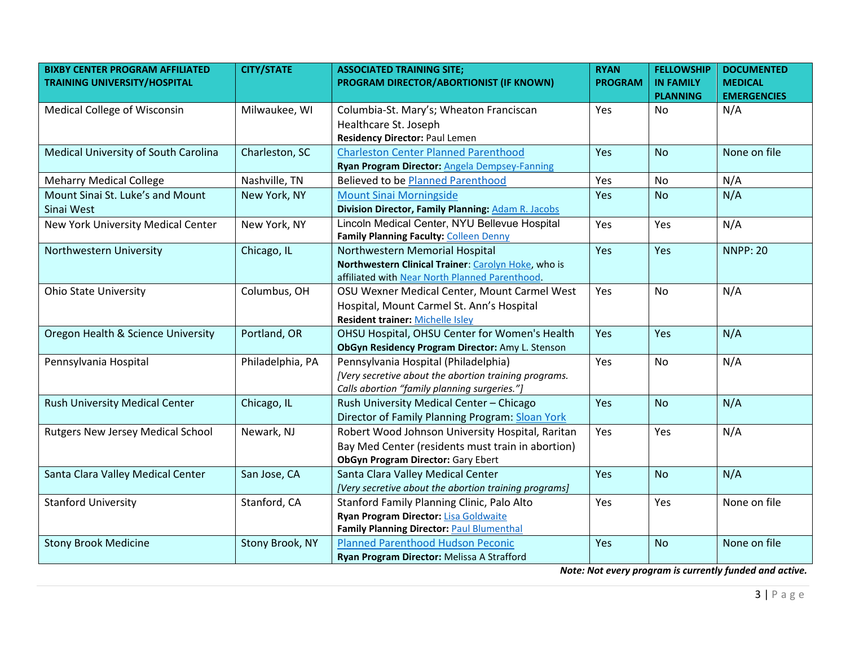| <b>BIXBY CENTER PROGRAM AFFILIATED</b><br><b>TRAINING UNIVERSITY/HOSPITAL</b> | <b>CITY/STATE</b> | <b>ASSOCIATED TRAINING SITE;</b><br>PROGRAM DIRECTOR/ABORTIONIST (IF KNOWN)                                                                        | <b>RYAN</b><br><b>PROGRAM</b> | <b>FELLOWSHIP</b><br><b>IN FAMILY</b><br><b>PLANNING</b> | <b>DOCUMENTED</b><br><b>MEDICAL</b><br><b>EMERGENCIES</b> |
|-------------------------------------------------------------------------------|-------------------|----------------------------------------------------------------------------------------------------------------------------------------------------|-------------------------------|----------------------------------------------------------|-----------------------------------------------------------|
| <b>Medical College of Wisconsin</b>                                           | Milwaukee, WI     | Columbia-St. Mary's; Wheaton Franciscan<br>Healthcare St. Joseph<br><b>Residency Director: Paul Lemen</b>                                          | Yes                           | No                                                       | N/A                                                       |
| Medical University of South Carolina                                          | Charleston, SC    | <b>Charleston Center Planned Parenthood</b><br>Ryan Program Director: Angela Dempsey-Fanning                                                       | Yes                           | <b>No</b>                                                | None on file                                              |
| <b>Meharry Medical College</b>                                                | Nashville, TN     | Believed to be Planned Parenthood                                                                                                                  | Yes                           | <b>No</b>                                                | N/A                                                       |
| Mount Sinai St. Luke's and Mount<br>Sinai West                                | New York, NY      | <b>Mount Sinai Morningside</b><br><b>Division Director, Family Planning: Adam R. Jacobs</b>                                                        | Yes                           | <b>No</b>                                                | N/A                                                       |
| New York University Medical Center                                            | New York, NY      | Lincoln Medical Center, NYU Bellevue Hospital<br>Family Planning Faculty: Colleen Denny                                                            | Yes                           | Yes                                                      | N/A                                                       |
| Northwestern University                                                       | Chicago, IL       | Northwestern Memorial Hospital<br>Northwestern Clinical Trainer: Carolyn Hoke, who is<br>affiliated with Near North Planned Parenthood.            | Yes                           | Yes                                                      | <b>NNPP: 20</b>                                           |
| <b>Ohio State University</b>                                                  | Columbus, OH      | OSU Wexner Medical Center, Mount Carmel West<br>Hospital, Mount Carmel St. Ann's Hospital<br><b>Resident trainer: Michelle Isley</b>               | Yes                           | No                                                       | N/A                                                       |
| Oregon Health & Science University                                            | Portland, OR      | OHSU Hospital, OHSU Center for Women's Health<br>ObGyn Residency Program Director: Amy L. Stenson                                                  | Yes                           | Yes                                                      | N/A                                                       |
| Pennsylvania Hospital                                                         | Philadelphia, PA  | Pennsylvania Hospital (Philadelphia)<br>[Very secretive about the abortion training programs.<br>Calls abortion "family planning surgeries."]      | Yes                           | <b>No</b>                                                | N/A                                                       |
| <b>Rush University Medical Center</b>                                         | Chicago, IL       | Rush University Medical Center - Chicago<br>Director of Family Planning Program: Sloan York                                                        | Yes                           | <b>No</b>                                                | N/A                                                       |
| <b>Rutgers New Jersey Medical School</b>                                      | Newark, NJ        | Robert Wood Johnson University Hospital, Raritan<br>Bay Med Center (residents must train in abortion)<br><b>ObGyn Program Director: Gary Ebert</b> | Yes                           | Yes                                                      | N/A                                                       |
| Santa Clara Valley Medical Center                                             | San Jose, CA      | Santa Clara Valley Medical Center<br>[Very secretive about the abortion training programs]                                                         | Yes                           | <b>No</b>                                                | N/A                                                       |
| <b>Stanford University</b>                                                    | Stanford, CA      | Stanford Family Planning Clinic, Palo Alto<br>Ryan Program Director: Lisa Goldwaite<br>Family Planning Director: Paul Blumenthal                   | Yes                           | Yes                                                      | None on file                                              |
| <b>Stony Brook Medicine</b>                                                   | Stony Brook, NY   | <b>Planned Parenthood Hudson Peconic</b><br>Ryan Program Director: Melissa A Strafford                                                             | Yes                           | <b>No</b>                                                | None on file                                              |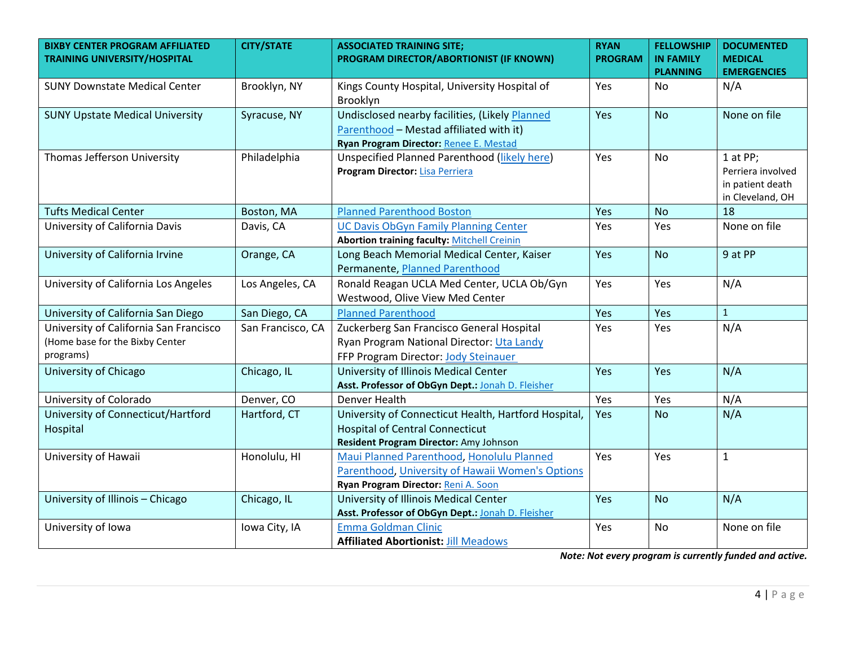| <b>BIXBY CENTER PROGRAM AFFILIATED</b><br><b>TRAINING UNIVERSITY/HOSPITAL</b>          | <b>CITY/STATE</b> | <b>ASSOCIATED TRAINING SITE;</b><br>PROGRAM DIRECTOR/ABORTIONIST (IF KNOWN)                                                              | <b>RYAN</b><br><b>PROGRAM</b> | <b>FELLOWSHIP</b><br><b>IN FAMILY</b><br><b>PLANNING</b> | <b>DOCUMENTED</b><br><b>MEDICAL</b><br><b>EMERGENCIES</b>             |
|----------------------------------------------------------------------------------------|-------------------|------------------------------------------------------------------------------------------------------------------------------------------|-------------------------------|----------------------------------------------------------|-----------------------------------------------------------------------|
| <b>SUNY Downstate Medical Center</b>                                                   | Brooklyn, NY      | Kings County Hospital, University Hospital of<br>Brooklyn                                                                                | Yes                           | No.                                                      | N/A                                                                   |
| <b>SUNY Upstate Medical University</b>                                                 | Syracuse, NY      | Undisclosed nearby facilities, (Likely Planned<br>Parenthood - Mestad affiliated with it)<br>Ryan Program Director: Renee E. Mestad      | Yes                           | <b>No</b>                                                | None on file                                                          |
| Thomas Jefferson University                                                            | Philadelphia      | Unspecified Planned Parenthood (likely here)<br>Program Director: Lisa Perriera                                                          | Yes                           | <b>No</b>                                                | 1 at PP;<br>Perriera involved<br>in patient death<br>in Cleveland, OH |
| <b>Tufts Medical Center</b>                                                            | Boston, MA        | <b>Planned Parenthood Boston</b>                                                                                                         | Yes                           | <b>No</b>                                                | 18                                                                    |
| University of California Davis                                                         | Davis, CA         | <b>UC Davis ObGyn Family Planning Center</b><br><b>Abortion training faculty: Mitchell Creinin</b>                                       | Yes                           | Yes                                                      | None on file                                                          |
| University of California Irvine                                                        | Orange, CA        | Long Beach Memorial Medical Center, Kaiser<br>Permanente, Planned Parenthood                                                             | Yes                           | <b>No</b>                                                | 9 at PP                                                               |
| University of California Los Angeles                                                   | Los Angeles, CA   | Ronald Reagan UCLA Med Center, UCLA Ob/Gyn<br>Westwood, Olive View Med Center                                                            | Yes                           | Yes                                                      | N/A                                                                   |
| University of California San Diego                                                     | San Diego, CA     | <b>Planned Parenthood</b>                                                                                                                | Yes                           | Yes                                                      | $\mathbf{1}$                                                          |
| University of California San Francisco<br>(Home base for the Bixby Center<br>programs) | San Francisco, CA | Zuckerberg San Francisco General Hospital<br>Ryan Program National Director: Uta Landy<br>FFP Program Director: Jody Steinauer           | Yes                           | Yes                                                      | N/A                                                                   |
| University of Chicago                                                                  | Chicago, IL       | University of Illinois Medical Center<br>Asst. Professor of ObGyn Dept.: Jonah D. Fleisher                                               | Yes                           | Yes                                                      | N/A                                                                   |
| University of Colorado                                                                 | Denver, CO        | Denver Health                                                                                                                            | Yes                           | Yes                                                      | N/A                                                                   |
| University of Connecticut/Hartford<br>Hospital                                         | Hartford, CT      | University of Connecticut Health, Hartford Hospital,<br><b>Hospital of Central Connecticut</b><br>Resident Program Director: Amy Johnson | Yes                           | <b>No</b>                                                | N/A                                                                   |
| University of Hawaii                                                                   | Honolulu, HI      | Maui Planned Parenthood, Honolulu Planned<br>Parenthood, University of Hawaii Women's Options<br>Ryan Program Director: Reni A. Soon     | Yes                           | Yes                                                      | $\mathbf{1}$                                                          |
| University of Illinois - Chicago                                                       | Chicago, IL       | University of Illinois Medical Center<br>Asst. Professor of ObGyn Dept.: Jonah D. Fleisher                                               | Yes                           | <b>No</b>                                                | N/A                                                                   |
| University of Iowa                                                                     | Iowa City, IA     | Emma Goldman Clinic<br><b>Affiliated Abortionist: Jill Meadows</b>                                                                       | Yes                           | No                                                       | None on file                                                          |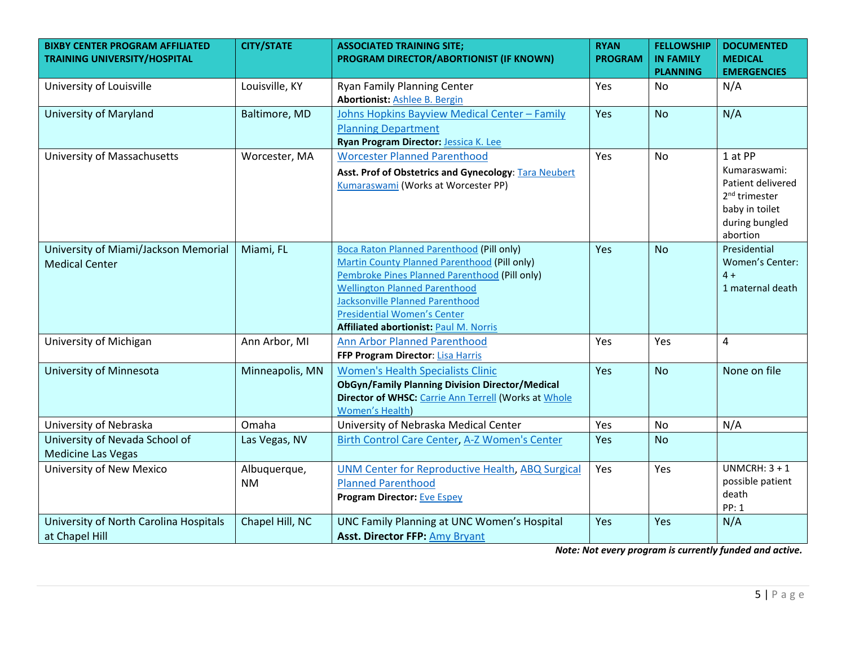| <b>BIXBY CENTER PROGRAM AFFILIATED</b><br><b>TRAINING UNIVERSITY/HOSPITAL</b> | <b>CITY/STATE</b> | <b>ASSOCIATED TRAINING SITE;</b><br>PROGRAM DIRECTOR/ABORTIONIST (IF KNOWN)          | <b>RYAN</b><br><b>PROGRAM</b> | <b>FELLOWSHIP</b><br><b>IN FAMILY</b> | <b>DOCUMENTED</b><br><b>MEDICAL</b>            |
|-------------------------------------------------------------------------------|-------------------|--------------------------------------------------------------------------------------|-------------------------------|---------------------------------------|------------------------------------------------|
|                                                                               |                   |                                                                                      |                               | <b>PLANNING</b>                       | <b>EMERGENCIES</b>                             |
| University of Louisville                                                      | Louisville, KY    | <b>Ryan Family Planning Center</b>                                                   | Yes                           | No.                                   | N/A                                            |
|                                                                               |                   | <b>Abortionist: Ashlee B. Bergin</b>                                                 |                               |                                       |                                                |
| University of Maryland                                                        | Baltimore, MD     | Johns Hopkins Bayview Medical Center - Family                                        | Yes                           | <b>No</b>                             | N/A                                            |
|                                                                               |                   | <b>Planning Department</b>                                                           |                               |                                       |                                                |
|                                                                               |                   | Ryan Program Director: Jessica K. Lee                                                |                               |                                       |                                                |
| University of Massachusetts                                                   | Worcester, MA     | <b>Worcester Planned Parenthood</b>                                                  | Yes                           | <b>No</b>                             | 1 at PP                                        |
|                                                                               |                   | Asst. Prof of Obstetrics and Gynecology: Tara Neubert                                |                               |                                       | Kumaraswami:                                   |
|                                                                               |                   | Kumaraswami (Works at Worcester PP)                                                  |                               |                                       | Patient delivered<br>2 <sup>nd</sup> trimester |
|                                                                               |                   |                                                                                      |                               |                                       | baby in toilet                                 |
|                                                                               |                   |                                                                                      |                               |                                       | during bungled                                 |
|                                                                               |                   |                                                                                      |                               |                                       | abortion                                       |
| University of Miami/Jackson Memorial                                          | Miami, FL         | Boca Raton Planned Parenthood (Pill only)                                            | Yes                           | <b>No</b>                             | Presidential                                   |
| <b>Medical Center</b>                                                         |                   | <b>Martin County Planned Parenthood (Pill only)</b>                                  |                               |                                       | Women's Center:                                |
|                                                                               |                   | Pembroke Pines Planned Parenthood (Pill only)                                        |                               |                                       | $4 +$                                          |
|                                                                               |                   | <b>Wellington Planned Parenthood</b>                                                 |                               |                                       | 1 maternal death                               |
|                                                                               |                   | <b>Jacksonville Planned Parenthood</b>                                               |                               |                                       |                                                |
|                                                                               |                   | <b>Presidential Women's Center</b>                                                   |                               |                                       |                                                |
|                                                                               |                   | <b>Affiliated abortionist: Paul M. Norris</b>                                        |                               |                                       |                                                |
| University of Michigan                                                        | Ann Arbor, MI     | <b>Ann Arbor Planned Parenthood</b>                                                  | Yes                           | Yes                                   | $\overline{4}$                                 |
|                                                                               |                   | FFP Program Director: Lisa Harris                                                    |                               |                                       |                                                |
| University of Minnesota                                                       | Minneapolis, MN   | <b>Women's Health Specialists Clinic</b>                                             | Yes                           | <b>No</b>                             | None on file                                   |
|                                                                               |                   | <b>ObGyn/Family Planning Division Director/Medical</b>                               |                               |                                       |                                                |
|                                                                               |                   | Director of WHSC: Carrie Ann Terrell (Works at Whole                                 |                               |                                       |                                                |
| University of Nebraska                                                        | Omaha             | <b>Women's Health)</b><br>University of Nebraska Medical Center                      | Yes                           | <b>No</b>                             | N/A                                            |
| University of Nevada School of                                                | Las Vegas, NV     | Birth Control Care Center, A-Z Women's Center                                        | Yes                           | <b>No</b>                             |                                                |
|                                                                               |                   |                                                                                      |                               |                                       |                                                |
| <b>Medicine Las Vegas</b><br>University of New Mexico                         |                   |                                                                                      | Yes                           | Yes                                   | UNMCRH: $3 + 1$                                |
|                                                                               | Albuquerque,      | <b>UNM Center for Reproductive Health, ABQ Surgical</b><br><b>Planned Parenthood</b> |                               |                                       | possible patient                               |
|                                                                               | <b>NM</b>         | <b>Program Director: Eve Espey</b>                                                   |                               |                                       | death                                          |
|                                                                               |                   |                                                                                      |                               |                                       | PP: 1                                          |
| University of North Carolina Hospitals                                        | Chapel Hill, NC   | UNC Family Planning at UNC Women's Hospital                                          | Yes                           | Yes                                   | N/A                                            |
| at Chapel Hill                                                                |                   | <b>Asst. Director FFP: Amy Bryant</b>                                                |                               |                                       |                                                |